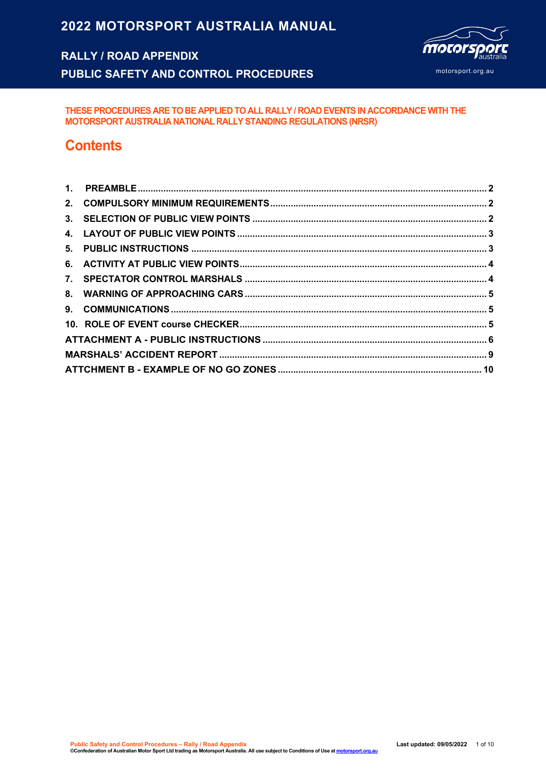# **2022 MOTORSPORT AUSTRALIA MANUAL**

## **RALLY / ROAD APPENDIX**

**PUBLIC SAFETY AND CONTROL PROCEDURES**



**THESE PROCEDURES ARE TO BE APPLIED TO ALL RALLY / ROAD EVENTS IN ACCORDANCE WITH THE MOTORSPORT AUSTRALIA NATIONAL RALLY STANDING REGULATIONS (NRSR)**

## **Contents**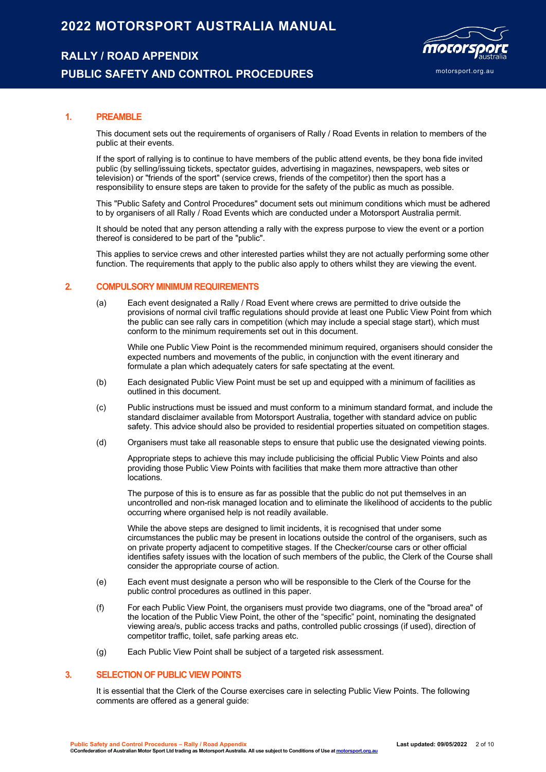## **2022 MOTORSPORT AUSTRALIA MANUAL**

### **RALLY / ROAD APPENDIX**

### **PUBLIC SAFETY AND CONTROL PROCEDURES**



#### **1. PREAMBLE**

This document sets out the requirements of organisers of Rally / Road Events in relation to members of the public at their events.

If the sport of rallying is to continue to have members of the public attend events, be they bona fide invited public (by selling/issuing tickets, spectator guides, advertising in magazines, newspapers, web sites or television) or "friends of the sport" (service crews, friends of the competitor) then the sport has a responsibility to ensure steps are taken to provide for the safety of the public as much as possible.

This "Public Safety and Control Procedures" document sets out minimum conditions which must be adhered to by organisers of all Rally / Road Events which are conducted under a Motorsport Australia permit.

It should be noted that any person attending a rally with the express purpose to view the event or a portion thereof is considered to be part of the "public".

This applies to service crews and other interested parties whilst they are not actually performing some other function. The requirements that apply to the public also apply to others whilst they are viewing the event.

#### **2. COMPULSORY MINIMUM REQUIREMENTS**

(a) Each event designated a Rally / Road Event where crews are permitted to drive outside the provisions of normal civil traffic regulations should provide at least one Public View Point from which the public can see rally cars in competition (which may include a special stage start), which must conform to the minimum requirements set out in this document.

While one Public View Point is the recommended minimum required, organisers should consider the expected numbers and movements of the public, in conjunction with the event itinerary and formulate a plan which adequately caters for safe spectating at the event.

- (b) Each designated Public View Point must be set up and equipped with a minimum of facilities as outlined in this document.
- (c) Public instructions must be issued and must conform to a minimum standard format, and include the standard disclaimer available from Motorsport Australia, together with standard advice on public safety. This advice should also be provided to residential properties situated on competition stages.
- (d) Organisers must take all reasonable steps to ensure that public use the designated viewing points.

Appropriate steps to achieve this may include publicising the official Public View Points and also providing those Public View Points with facilities that make them more attractive than other locations.

The purpose of this is to ensure as far as possible that the public do not put themselves in an uncontrolled and non-risk managed location and to eliminate the likelihood of accidents to the public occurring where organised help is not readily available.

While the above steps are designed to limit incidents, it is recognised that under some circumstances the public may be present in locations outside the control of the organisers, such as on private property adjacent to competitive stages. If the Checker/course cars or other official identifies safety issues with the location of such members of the public, the Clerk of the Course shall consider the appropriate course of action.

- (e) Each event must designate a person who will be responsible to the Clerk of the Course for the public control procedures as outlined in this paper.
- (f) For each Public View Point, the organisers must provide two diagrams, one of the "broad area" of the location of the Public View Point, the other of the "specific" point, nominating the designated viewing area/s, public access tracks and paths, controlled public crossings (if used), direction of competitor traffic, toilet, safe parking areas etc.
- (g) Each Public View Point shall be subject of a targeted risk assessment.

#### **3. SELECTION OF PUBLIC VIEW POINTS**

It is essential that the Clerk of the Course exercises care in selecting Public View Points. The following comments are offered as a general quide: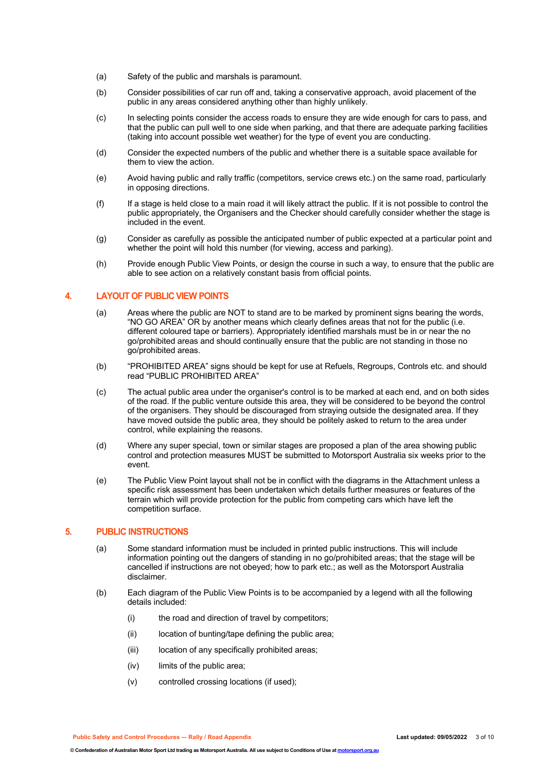- (a) Safety of the public and marshals is paramount.
- (b) Consider possibilities of car run off and, taking a conservative approach, avoid placement of the public in any areas considered anything other than highly unlikely.
- (c) In selecting points consider the access roads to ensure they are wide enough for cars to pass, and that the public can pull well to one side when parking, and that there are adequate parking facilities (taking into account possible wet weather) for the type of event you are conducting.
- (d) Consider the expected numbers of the public and whether there is a suitable space available for them to view the action.
- (e) Avoid having public and rally traffic (competitors, service crews etc.) on the same road, particularly in opposing directions.
- (f) If a stage is held close to a main road it will likely attract the public. If it is not possible to control the public appropriately, the Organisers and the Checker should carefully consider whether the stage is included in the event.
- (g) Consider as carefully as possible the anticipated number of public expected at a particular point and whether the point will hold this number (for viewing, access and parking).
- (h) Provide enough Public View Points, or design the course in such a way, to ensure that the public are able to see action on a relatively constant basis from official points.

#### **4. LAYOUT OF PUBLIC VIEW POINTS**

- (a) Areas where the public are NOT to stand are to be marked by prominent signs bearing the words, "NO GO AREA" OR by another means which clearly defines areas that not for the public (i.e. different coloured tape or barriers). Appropriately identified marshals must be in or near the no go/prohibited areas and should continually ensure that the public are not standing in those no go/prohibited areas.
- (b) "PROHIBITED AREA" signs should be kept for use at Refuels, Regroups, Controls etc. and should read "PUBLIC PROHIBITED AREA"
- (c) The actual public area under the organiser's control is to be marked at each end, and on both sides of the road. If the public venture outside this area, they will be considered to be beyond the control of the organisers. They should be discouraged from straying outside the designated area. If they have moved outside the public area, they should be politely asked to return to the area under control, while explaining the reasons.
- (d) Where any super special, town or similar stages are proposed a plan of the area showing public control and protection measures MUST be submitted to Motorsport Australia six weeks prior to the event.
- (e) The Public View Point layout shall not be in conflict with the diagrams in the Attachment unless a specific risk assessment has been undertaken which details further measures or features of the terrain which will provide protection for the public from competing cars which have left the competition surface.

#### **5. PUBLIC INSTRUCTIONS**

- (a) Some standard information must be included in printed public instructions. This will include information pointing out the dangers of standing in no go/prohibited areas; that the stage will be cancelled if instructions are not obeyed; how to park etc.; as well as the Motorsport Australia disclaimer.
- (b) Each diagram of the Public View Points is to be accompanied by a legend with all the following details included:
	- (i) the road and direction of travel by competitors;
	- (ii) location of bunting/tape defining the public area;
	- (iii) location of any specifically prohibited areas;
	- (iv) limits of the public area;
	- (v) controlled crossing locations (if used);

**Public Safety and Control Procedures -– Rally / Road Appendix Last updated: 09/05/2022** 3 of 10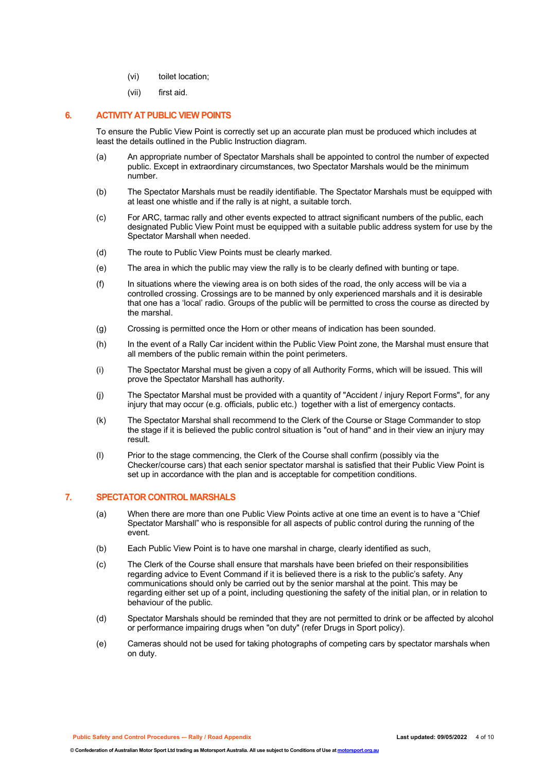- (vi) toilet location;
- (vii) first aid.

#### **6. ACTIVITY AT PUBLIC VIEW POINTS**

To ensure the Public View Point is correctly set up an accurate plan must be produced which includes at least the details outlined in the Public Instruction diagram.

- (a) An appropriate number of Spectator Marshals shall be appointed to control the number of expected public. Except in extraordinary circumstances, two Spectator Marshals would be the minimum number.
- (b) The Spectator Marshals must be readily identifiable. The Spectator Marshals must be equipped with at least one whistle and if the rally is at night, a suitable torch.
- (c) For ARC, tarmac rally and other events expected to attract significant numbers of the public, each designated Public View Point must be equipped with a suitable public address system for use by the Spectator Marshall when needed.
- (d) The route to Public View Points must be clearly marked.
- (e) The area in which the public may view the rally is to be clearly defined with bunting or tape.
- (f) In situations where the viewing area is on both sides of the road, the only access will be via a controlled crossing. Crossings are to be manned by only experienced marshals and it is desirable that one has a 'local' radio. Groups of the public will be permitted to cross the course as directed by the marshal.
- (g) Crossing is permitted once the Horn or other means of indication has been sounded.
- (h) In the event of a Rally Car incident within the Public View Point zone, the Marshal must ensure that all members of the public remain within the point perimeters.
- (i) The Spectator Marshal must be given a copy of all Authority Forms, which will be issued. This will prove the Spectator Marshall has authority.
- (j) The Spectator Marshal must be provided with a quantity of "Accident / injury Report Forms", for any injury that may occur (e.g. officials, public etc.) together with a list of emergency contacts.
- (k) The Spectator Marshal shall recommend to the Clerk of the Course or Stage Commander to stop the stage if it is believed the public control situation is "out of hand" and in their view an injury may result.
- (l) Prior to the stage commencing, the Clerk of the Course shall confirm (possibly via the Checker/course cars) that each senior spectator marshal is satisfied that their Public View Point is set up in accordance with the plan and is acceptable for competition conditions.

#### **7. SPECTATOR CONTROL MARSHALS**

- (a) When there are more than one Public View Points active at one time an event is to have a "Chief Spectator Marshall" who is responsible for all aspects of public control during the running of the event.
- (b) Each Public View Point is to have one marshal in charge, clearly identified as such,
- (c) The Clerk of the Course shall ensure that marshals have been briefed on their responsibilities regarding advice to Event Command if it is believed there is a risk to the public's safety. Any communications should only be carried out by the senior marshal at the point. This may be regarding either set up of a point, including questioning the safety of the initial plan, or in relation to behaviour of the public.
- (d) Spectator Marshals should be reminded that they are not permitted to drink or be affected by alcohol or performance impairing drugs when "on duty" (refer Drugs in Sport policy).
- (e) Cameras should not be used for taking photographs of competing cars by spectator marshals when on duty.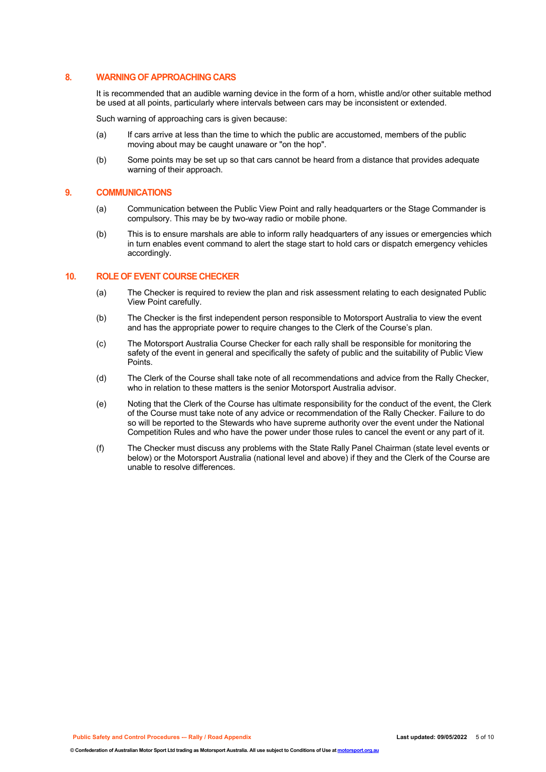#### **8. WARNING OF APPROACHING CARS**

It is recommended that an audible warning device in the form of a horn, whistle and/or other suitable method be used at all points, particularly where intervals between cars may be inconsistent or extended.

Such warning of approaching cars is given because:

- (a) If cars arrive at less than the time to which the public are accustomed, members of the public moving about may be caught unaware or "on the hop".
- (b) Some points may be set up so that cars cannot be heard from a distance that provides adequate warning of their approach.

#### **9. COMMUNICATIONS**

- (a) Communication between the Public View Point and rally headquarters or the Stage Commander is compulsory. This may be by two-way radio or mobile phone.
- (b) This is to ensure marshals are able to inform rally headquarters of any issues or emergencies which in turn enables event command to alert the stage start to hold cars or dispatch emergency vehicles accordingly.

#### **10. ROLE OF EVENT COURSE CHECKER**

- (a) The Checker is required to review the plan and risk assessment relating to each designated Public View Point carefully.
- (b) The Checker is the first independent person responsible to Motorsport Australia to view the event and has the appropriate power to require changes to the Clerk of the Course's plan.
- (c) The Motorsport Australia Course Checker for each rally shall be responsible for monitoring the safety of the event in general and specifically the safety of public and the suitability of Public View Points.
- (d) The Clerk of the Course shall take note of all recommendations and advice from the Rally Checker, who in relation to these matters is the senior Motorsport Australia advisor.
- (e) Noting that the Clerk of the Course has ultimate responsibility for the conduct of the event, the Clerk of the Course must take note of any advice or recommendation of the Rally Checker. Failure to do so will be reported to the Stewards who have supreme authority over the event under the National Competition Rules and who have the power under those rules to cancel the event or any part of it.
- (f) The Checker must discuss any problems with the State Rally Panel Chairman (state level events or below) or the Motorsport Australia (national level and above) if they and the Clerk of the Course are unable to resolve differences.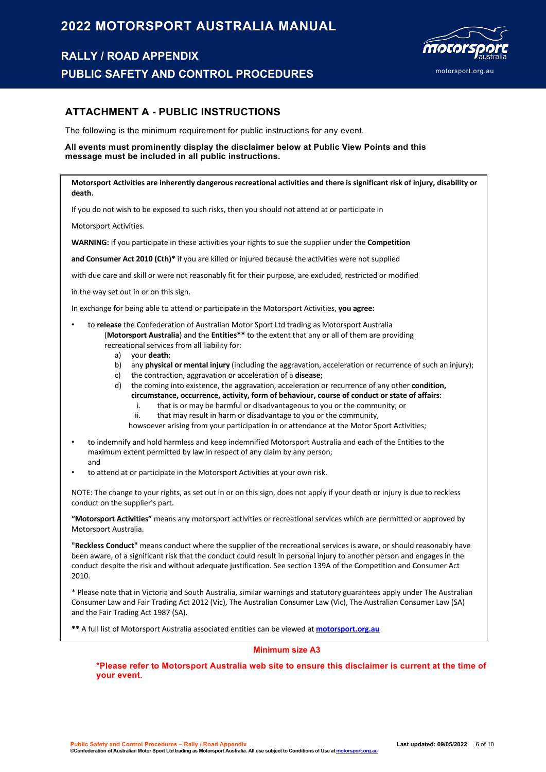## **2022 MOTORSPORT AUSTRALIA MANUAL**

## **RALLY / ROAD APPENDIX**

**PUBLIC SAFETY AND CONTROL PROCEDURES**



## **ATTACHMENT A - PUBLIC INSTRUCTIONS**

The following is the minimum requirement for public instructions for any event.

#### **All events must prominently display the disclaimer below at Public View Points and this message must be included in all public instructions.**

**Motorsport Activities are inherently dangerous recreational activities and there is significant risk of injury, disability or death.**

If you do not wish to be exposed to such risks, then you should not attend at or participate in

Motorsport Activities.

**WARNING:** If you participate in these activities your rights to sue the supplier under the **Competition**

**and Consumer Act 2010 (Cth)\*** if you are killed or injured because the activities were not supplied

with due care and skill or were not reasonably fit for their purpose, are excluded, restricted or modified

in the way set out in or on this sign.

In exchange for being able to attend or participate in the Motorsport Activities, **you agree:**

- to **release** the Confederation of Australian Motor Sport Ltd trading as Motorsport Australia (**Motorsport Australia**) and the **Entities\*\*** to the extent that any or all of them are providing recreational services from all liability for:
	- a) your **death**;
	- b) any **physical or mental injury** (including the aggravation, acceleration or recurrence of such an injury);
	- c) the contraction, aggravation or acceleration of a **disease**;
	- d) the coming into existence, the aggravation, acceleration or recurrence of any other **condition, circumstance, occurrence, activity, form of behaviour, course of conduct or state of affairs**:
		- i. that is or may be harmful or disadvantageous to you or the community; or
		- ii. that may result in harm or disadvantage to you or the community,
		- howsoever arising from your participation in or attendance at the Motor Sport Activities;
- to indemnify and hold harmless and keep indemnified Motorsport Australia and each of the Entities to the maximum extent permitted by law in respect of any claim by any person; and
- to attend at or participate in the Motorsport Activities at your own risk.

NOTE: The change to your rights, as set out in or on this sign, does not apply if your death or injury is due to reckless conduct on the supplier's part.

**"Motorsport Activities"** means any motorsport activities or recreational services which are permitted or approved by Motorsport Australia.

**"Reckless Conduct"** means conduct where the supplier of the recreational services is aware, or should reasonably have been aware, of a significant risk that the conduct could result in personal injury to another person and engages in the conduct despite the risk and without adequate justification. See section 139A of the Competition and Consumer Act 2010.

\* Please note that in Victoria and South Australia, similar warnings and statutory guarantees apply under The Australian Consumer Law and Fair Trading Act 2012 (Vic), The Australian Consumer Law (Vic), The Australian Consumer Law (SA) and the Fair Trading Act 1987 (SA).

**\*\*** A full list of Motorsport Australia associated entities can be viewed at **motorsport.org.au**

#### **Minimum size A3**

**\*Please refer to Motorsport Australia web site to ensure this disclaimer is current at the time of your event.**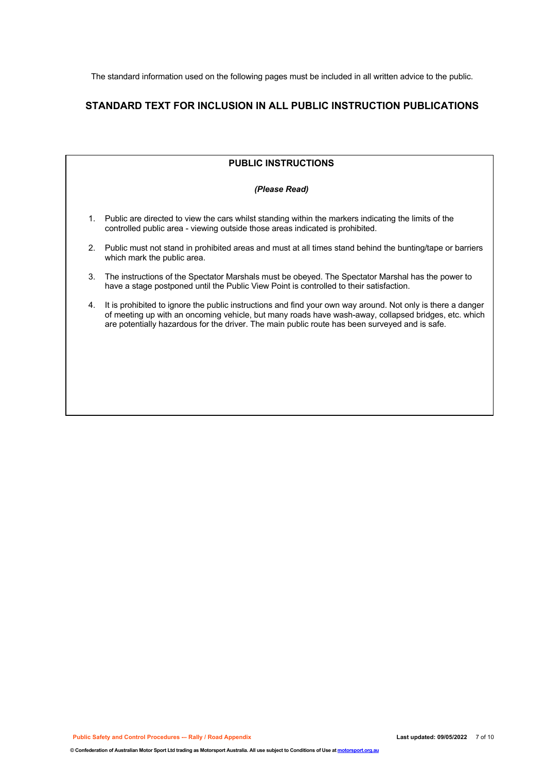The standard information used on the following pages must be included in all written advice to the public.

## **STANDARD TEXT FOR INCLUSION IN ALL PUBLIC INSTRUCTION PUBLICATIONS**

|    | <b>PUBLIC INSTRUCTIONS</b>                                                                                                                                                                                                                                                                                            |
|----|-----------------------------------------------------------------------------------------------------------------------------------------------------------------------------------------------------------------------------------------------------------------------------------------------------------------------|
|    | (Please Read)                                                                                                                                                                                                                                                                                                         |
| 1. | Public are directed to view the cars whilst standing within the markers indicating the limits of the<br>controlled public area - viewing outside those areas indicated is prohibited.                                                                                                                                 |
| 2. | Public must not stand in prohibited areas and must at all times stand behind the bunting/tape or barriers<br>which mark the public area.                                                                                                                                                                              |
| 3. | The instructions of the Spectator Marshals must be obeyed. The Spectator Marshal has the power to<br>have a stage postponed until the Public View Point is controlled to their satisfaction.                                                                                                                          |
| 4. | It is prohibited to ignore the public instructions and find your own way around. Not only is there a danger<br>of meeting up with an oncoming vehicle, but many roads have wash-away, collapsed bridges, etc. which<br>are potentially hazardous for the driver. The main public route has been surveyed and is safe. |
|    |                                                                                                                                                                                                                                                                                                                       |
|    |                                                                                                                                                                                                                                                                                                                       |
|    |                                                                                                                                                                                                                                                                                                                       |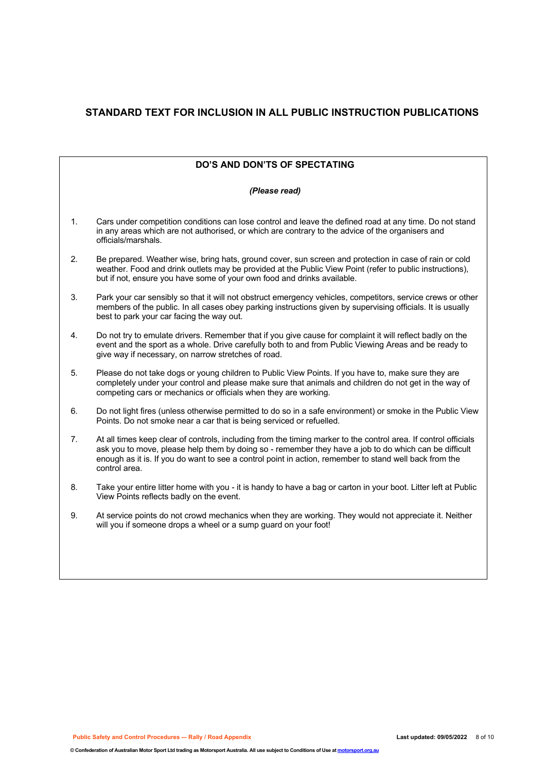## **STANDARD TEXT FOR INCLUSION IN ALL PUBLIC INSTRUCTION PUBLICATIONS**

| <b>DO'S AND DON'TS OF SPECTATING</b> |                                                                                                                                                                                                                                                                                                                                                     |  |  |  |  |
|--------------------------------------|-----------------------------------------------------------------------------------------------------------------------------------------------------------------------------------------------------------------------------------------------------------------------------------------------------------------------------------------------------|--|--|--|--|
| (Please read)                        |                                                                                                                                                                                                                                                                                                                                                     |  |  |  |  |
| 1.                                   | Cars under competition conditions can lose control and leave the defined road at any time. Do not stand<br>in any areas which are not authorised, or which are contrary to the advice of the organisers and<br>officials/marshals.                                                                                                                  |  |  |  |  |
| 2.                                   | Be prepared. Weather wise, bring hats, ground cover, sun screen and protection in case of rain or cold<br>weather. Food and drink outlets may be provided at the Public View Point (refer to public instructions),<br>but if not, ensure you have some of your own food and drinks available.                                                       |  |  |  |  |
| 3.                                   | Park your car sensibly so that it will not obstruct emergency vehicles, competitors, service crews or other<br>members of the public. In all cases obey parking instructions given by supervising officials. It is usually<br>best to park your car facing the way out.                                                                             |  |  |  |  |
| 4.                                   | Do not try to emulate drivers. Remember that if you give cause for complaint it will reflect badly on the<br>event and the sport as a whole. Drive carefully both to and from Public Viewing Areas and be ready to<br>give way if necessary, on narrow stretches of road.                                                                           |  |  |  |  |
| 5.                                   | Please do not take dogs or young children to Public View Points. If you have to, make sure they are<br>completely under your control and please make sure that animals and children do not get in the way of<br>competing cars or mechanics or officials when they are working.                                                                     |  |  |  |  |
| 6.                                   | Do not light fires (unless otherwise permitted to do so in a safe environment) or smoke in the Public View<br>Points. Do not smoke near a car that is being serviced or refuelled.                                                                                                                                                                  |  |  |  |  |
| 7.                                   | At all times keep clear of controls, including from the timing marker to the control area. If control officials<br>ask you to move, please help them by doing so - remember they have a job to do which can be difficult<br>enough as it is. If you do want to see a control point in action, remember to stand well back from the<br>control area. |  |  |  |  |
| 8.                                   | Take your entire litter home with you - it is handy to have a bag or carton in your boot. Litter left at Public<br>View Points reflects badly on the event.                                                                                                                                                                                         |  |  |  |  |
| 9.                                   | At service points do not crowd mechanics when they are working. They would not appreciate it. Neither<br>will you if someone drops a wheel or a sump guard on your foot!                                                                                                                                                                            |  |  |  |  |
|                                      |                                                                                                                                                                                                                                                                                                                                                     |  |  |  |  |
|                                      |                                                                                                                                                                                                                                                                                                                                                     |  |  |  |  |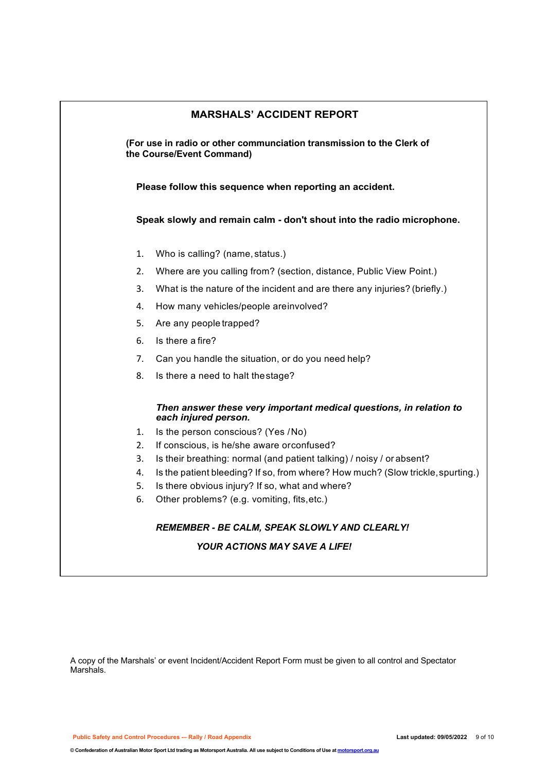| <b>MARSHALS' ACCIDENT REPORT</b>                                                                   |                                                                                            |  |  |  |  |
|----------------------------------------------------------------------------------------------------|--------------------------------------------------------------------------------------------|--|--|--|--|
| (For use in radio or other communciation transmission to the Clerk of<br>the Course/Event Command) |                                                                                            |  |  |  |  |
|                                                                                                    | Please follow this sequence when reporting an accident.                                    |  |  |  |  |
|                                                                                                    | Speak slowly and remain calm - don't shout into the radio microphone.                      |  |  |  |  |
| 1.                                                                                                 | Who is calling? (name, status.)                                                            |  |  |  |  |
| 2.                                                                                                 | Where are you calling from? (section, distance, Public View Point.)                        |  |  |  |  |
| 3.                                                                                                 | What is the nature of the incident and are there any injuries? (briefly.)                  |  |  |  |  |
| 4.                                                                                                 | How many vehicles/people areinvolved?                                                      |  |  |  |  |
| 5.                                                                                                 | Are any people trapped?                                                                    |  |  |  |  |
| 6.                                                                                                 | Is there a fire?                                                                           |  |  |  |  |
| 7.                                                                                                 | Can you handle the situation, or do you need help?                                         |  |  |  |  |
| 8.                                                                                                 | Is there a need to halt the stage?                                                         |  |  |  |  |
|                                                                                                    | Then answer these very important medical questions, in relation to<br>each injured person. |  |  |  |  |
| 1.                                                                                                 | Is the person conscious? (Yes /No)                                                         |  |  |  |  |
| 2.                                                                                                 | If conscious, is he/she aware or confused?                                                 |  |  |  |  |
| 3.                                                                                                 | Is their breathing: normal (and patient talking) / noisy / or absent?                      |  |  |  |  |
| 4.                                                                                                 | Is the patient bleeding? If so, from where? How much? (Slow trickle, spurting.)            |  |  |  |  |
| 5.                                                                                                 | Is there obvious injury? If so, what and where?                                            |  |  |  |  |
| 6.                                                                                                 | Other problems? (e.g. vomiting, fits, etc.)                                                |  |  |  |  |
|                                                                                                    | REMEMBER - BE CALM, SPEAK SLOWLY AND CLEARLY!                                              |  |  |  |  |
|                                                                                                    | <b>YOUR ACTIONS MAY SAVE A LIFE!</b>                                                       |  |  |  |  |

A copy of the Marshals' or event Incident/Accident Report Form must be given to all control and Spectator Marshals.